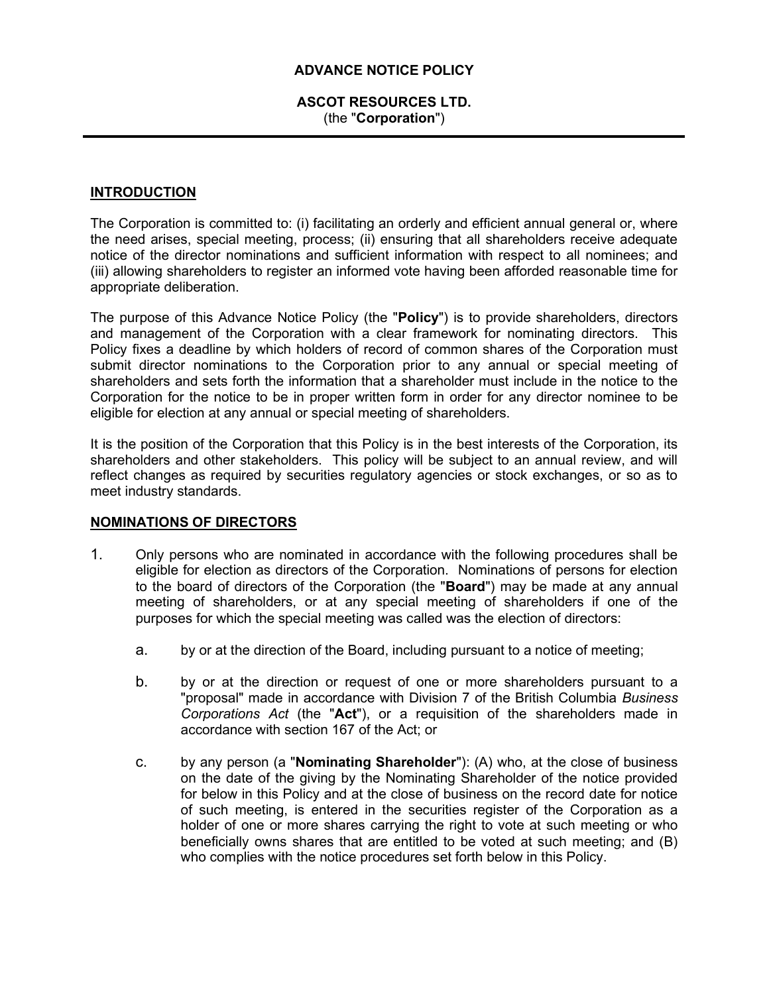# ADVANCE NOTICE POLICY

# ASCOT RESOURCES LTD. (the "Corporation")

# INTRODUCTION

The Corporation is committed to: (i) facilitating an orderly and efficient annual general or, where the need arises, special meeting, process; (ii) ensuring that all shareholders receive adequate notice of the director nominations and sufficient information with respect to all nominees; and (iii) allowing shareholders to register an informed vote having been afforded reasonable time for appropriate deliberation.

The purpose of this Advance Notice Policy (the "Policy") is to provide shareholders, directors and management of the Corporation with a clear framework for nominating directors. This Policy fixes a deadline by which holders of record of common shares of the Corporation must submit director nominations to the Corporation prior to any annual or special meeting of shareholders and sets forth the information that a shareholder must include in the notice to the Corporation for the notice to be in proper written form in order for any director nominee to be eligible for election at any annual or special meeting of shareholders.

It is the position of the Corporation that this Policy is in the best interests of the Corporation, its shareholders and other stakeholders. This policy will be subject to an annual review, and will reflect changes as required by securities regulatory agencies or stock exchanges, or so as to meet industry standards.

# NOMINATIONS OF DIRECTORS

- 1. Only persons who are nominated in accordance with the following procedures shall be eligible for election as directors of the Corporation. Nominations of persons for election to the board of directors of the Corporation (the "**Board**") may be made at any annual meeting of shareholders, or at any special meeting of shareholders if one of the purposes for which the special meeting was called was the election of directors:
	- a. by or at the direction of the Board, including pursuant to a notice of meeting;
	- b. by or at the direction or request of one or more shareholders pursuant to a "proposal" made in accordance with Division 7 of the British Columbia Business Corporations Act (the "Act"), or a requisition of the shareholders made in accordance with section 167 of the Act; or
	- c. by any person (a "Nominating Shareholder"): (A) who, at the close of business on the date of the giving by the Nominating Shareholder of the notice provided for below in this Policy and at the close of business on the record date for notice of such meeting, is entered in the securities register of the Corporation as a holder of one or more shares carrying the right to vote at such meeting or who beneficially owns shares that are entitled to be voted at such meeting; and (B) who complies with the notice procedures set forth below in this Policy.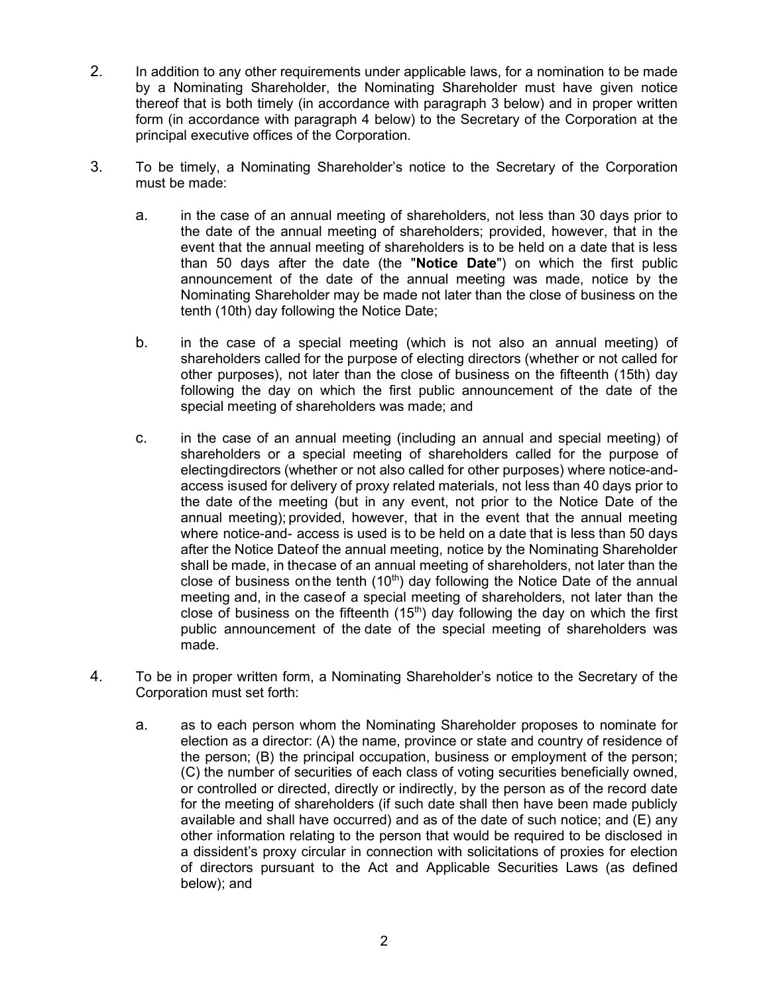- 2. In addition to any other requirements under applicable laws, for a nomination to be made by a Nominating Shareholder, the Nominating Shareholder must have given notice thereof that is both timely (in accordance with paragraph 3 below) and in proper written form (in accordance with paragraph 4 below) to the Secretary of the Corporation at the principal executive offices of the Corporation.
- 3. To be timely, a Nominating Shareholder's notice to the Secretary of the Corporation must be made:
	- a. in the case of an annual meeting of shareholders, not less than 30 days prior to the date of the annual meeting of shareholders; provided, however, that in the event that the annual meeting of shareholders is to be held on a date that is less than 50 days after the date (the "Notice Date") on which the first public announcement of the date of the annual meeting was made, notice by the Nominating Shareholder may be made not later than the close of business on the tenth (10th) day following the Notice Date;
	- b. in the case of a special meeting (which is not also an annual meeting) of shareholders called for the purpose of electing directors (whether or not called for other purposes), not later than the close of business on the fifteenth (15th) day following the day on which the first public announcement of the date of the special meeting of shareholders was made; and
	- c. in the case of an annual meeting (including an annual and special meeting) of shareholders or a special meeting of shareholders called for the purpose of electing directors (whether or not also called for other purposes) where notice-andaccess is used for delivery of proxy related materials, not less than 40 days prior to the date of the meeting (but in any event, not prior to the Notice Date of the annual meeting); provided, however, that in the event that the annual meeting where notice-and- access is used is to be held on a date that is less than 50 days after the Notice Date of the annual meeting, notice by the Nominating Shareholder shall be made, in the case of an annual meeting of shareholders, not later than the close of business on the tenth  $(10<sup>th</sup>)$  day following the Notice Date of the annual meeting and, in the case of a special meeting of shareholders, not later than the close of business on the fifteenth  $(15<sup>th</sup>)$  day following the day on which the first public announcement of the date of the special meeting of shareholders was made.
- 4. To be in proper written form, a Nominating Shareholder's notice to the Secretary of the Corporation must set forth:
	- a. as to each person whom the Nominating Shareholder proposes to nominate for election as a director: (A) the name, province or state and country of residence of the person; (B) the principal occupation, business or employment of the person; (C) the number of securities of each class of voting securities beneficially owned, or controlled or directed, directly or indirectly, by the person as of the record date for the meeting of shareholders (if such date shall then have been made publicly available and shall have occurred) and as of the date of such notice; and (E) any other information relating to the person that would be required to be disclosed in a dissident's proxy circular in connection with solicitations of proxies for election of directors pursuant to the Act and Applicable Securities Laws (as defined below); and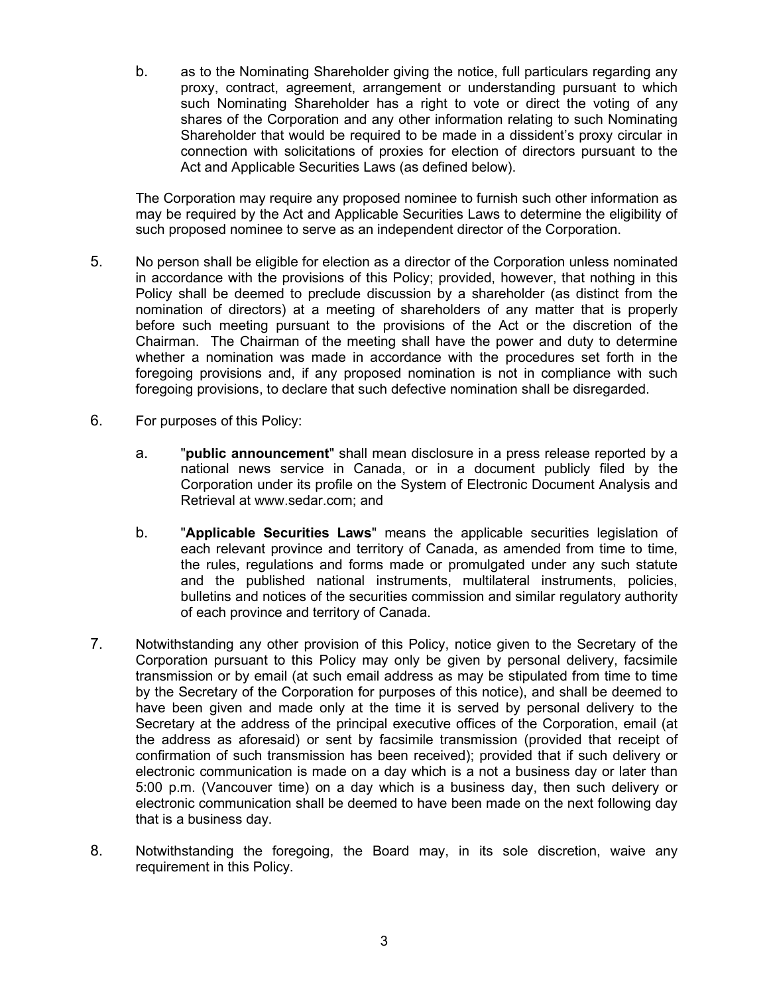b. as to the Nominating Shareholder giving the notice, full particulars regarding any proxy, contract, agreement, arrangement or understanding pursuant to which such Nominating Shareholder has a right to vote or direct the voting of any shares of the Corporation and any other information relating to such Nominating Shareholder that would be required to be made in a dissident's proxy circular in connection with solicitations of proxies for election of directors pursuant to the Act and Applicable Securities Laws (as defined below).

The Corporation may require any proposed nominee to furnish such other information as may be required by the Act and Applicable Securities Laws to determine the eligibility of such proposed nominee to serve as an independent director of the Corporation.

- 5. No person shall be eligible for election as a director of the Corporation unless nominated in accordance with the provisions of this Policy; provided, however, that nothing in this Policy shall be deemed to preclude discussion by a shareholder (as distinct from the nomination of directors) at a meeting of shareholders of any matter that is properly before such meeting pursuant to the provisions of the Act or the discretion of the Chairman. The Chairman of the meeting shall have the power and duty to determine whether a nomination was made in accordance with the procedures set forth in the foregoing provisions and, if any proposed nomination is not in compliance with such foregoing provisions, to declare that such defective nomination shall be disregarded.
- 6. For purposes of this Policy:
	- a. "public announcement" shall mean disclosure in a press release reported by a national news service in Canada, or in a document publicly filed by the Corporation under its profile on the System of Electronic Document Analysis and Retrieval at www.sedar.com; and
	- b. "Applicable Securities Laws" means the applicable securities legislation of each relevant province and territory of Canada, as amended from time to time, the rules, regulations and forms made or promulgated under any such statute and the published national instruments, multilateral instruments, policies, bulletins and notices of the securities commission and similar regulatory authority of each province and territory of Canada.
- 7. Notwithstanding any other provision of this Policy, notice given to the Secretary of the Corporation pursuant to this Policy may only be given by personal delivery, facsimile transmission or by email (at such email address as may be stipulated from time to time by the Secretary of the Corporation for purposes of this notice), and shall be deemed to have been given and made only at the time it is served by personal delivery to the Secretary at the address of the principal executive offices of the Corporation, email (at the address as aforesaid) or sent by facsimile transmission (provided that receipt of confirmation of such transmission has been received); provided that if such delivery or electronic communication is made on a day which is a not a business day or later than 5:00 p.m. (Vancouver time) on a day which is a business day, then such delivery or electronic communication shall be deemed to have been made on the next following day that is a business day.
- 8. Notwithstanding the foregoing, the Board may, in its sole discretion, waive any requirement in this Policy.